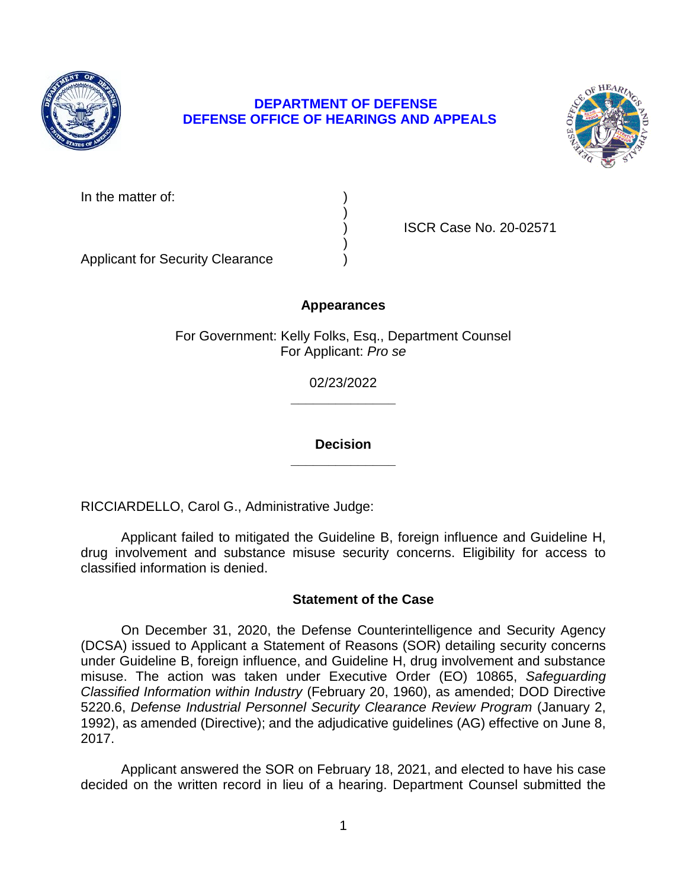

# **DEPARTMENT OF DEFENSE DEFENSE OFFICE OF HEARINGS AND APPEALS**



In the matter of:

) ISCR Case No. 20-02571

Applicant for Security Clearance )

# **Appearances**

)

)

For Government: Kelly Folks, Esq., Department Counsel For Applicant: *Pro se* 

> **\_\_\_\_\_\_\_\_\_\_\_\_\_\_**  02/23/2022

> **\_\_\_\_\_\_\_\_\_\_\_\_\_\_ Decision**

RICCIARDELLO, Carol G., Administrative Judge:

 Applicant failed to mitigated the Guideline B, foreign influence and Guideline H, drug involvement and substance misuse security concerns. Eligibility for access to classified information is denied.

# **Statement of the Case**

 On December 31, 2020, the Defense Counterintelligence and Security Agency (DCSA) issued to Applicant a Statement of Reasons (SOR) detailing security concerns under Guideline B, foreign influence, and Guideline H, drug involvement and substance misuse. The action was taken under Executive Order (EO) 10865, *Safeguarding Classified Information within Industry* (February 20, 1960), as amended; DOD Directive 5220.6, *Defense Industrial Personnel Security Clearance Review Program* (January 2, 1992), as amended (Directive); and the adjudicative guidelines (AG) effective on June 8, 2017.

 decided on the written record in lieu of a hearing. Department Counsel submitted the Applicant answered the SOR on February 18, 2021, and elected to have his case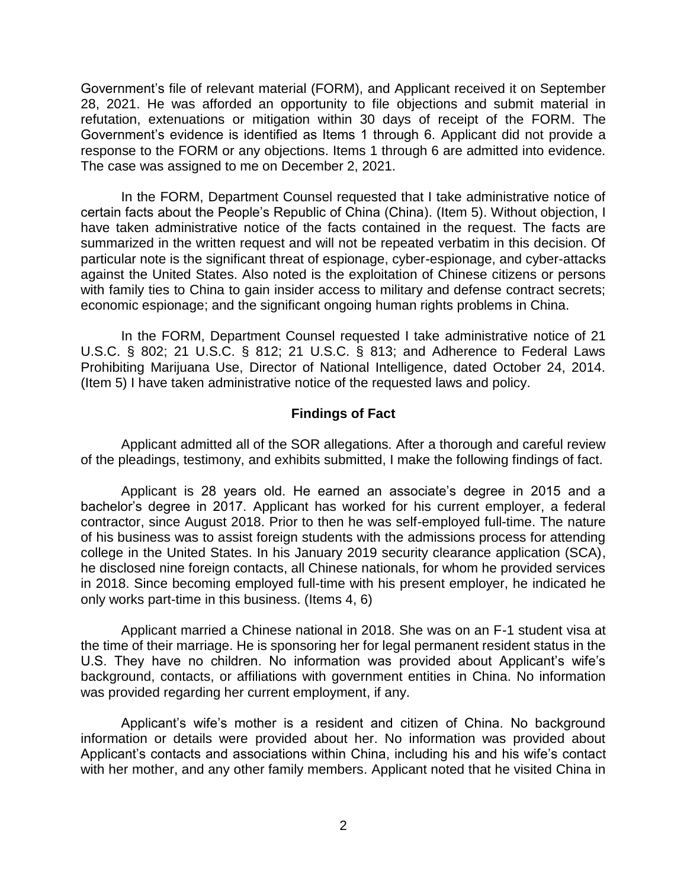Government's file of relevant material (FORM), and Applicant received it on September 28, 2021. He was afforded an opportunity to file objections and submit material in refutation, extenuations or mitigation within 30 days of receipt of the FORM. The Government's evidence is identified as Items 1 through 6. Applicant did not provide a response to the FORM or any objections. Items 1 through 6 are admitted into evidence. The case was assigned to me on December 2, 2021.

 In the FORM, Department Counsel requested that I take administrative notice of have taken administrative notice of the facts contained in the request. The facts are summarized in the written request and will not be repeated verbatim in this decision. Of against the United States. Also noted is the exploitation of Chinese citizens or persons with family ties to China to gain insider access to military and defense contract secrets; certain facts about the People's Republic of China (China). (Item 5). Without objection, I particular note is the significant threat of espionage, cyber-espionage, and cyber-attacks economic espionage; and the significant ongoing human rights problems in China.

In the FORM, Department Counsel requested I take administrative notice of 21 U.S.C. § 802; 21 U.S.C. § 812; 21 U.S.C. § 813; and Adherence to Federal Laws Prohibiting Marijuana Use, Director of National Intelligence, dated October 24, 2014. (Item 5) I have taken administrative notice of the requested laws and policy.

### **Findings of Fact**

 Applicant admitted all of the SOR allegations. After a thorough and careful review of the pleadings, testimony, and exhibits submitted, I make the following findings of fact.

 Applicant is 28 years old. He earned an associate's degree in 2015 and a bachelor's degree in 2017. Applicant has worked for his current employer, a federal contractor, since August 2018. Prior to then he was self-employed full-time. The nature of his business was to assist foreign students with the admissions process for attending college in the United States. In his January 2019 security clearance application (SCA), in 2018. Since becoming employed full-time with his present employer, he indicated he he disclosed nine foreign contacts, all Chinese nationals, for whom he provided services only works part-time in this business. (Items 4, 6)

Applicant married a Chinese national in 2018. She was on an F-1 student visa at the time of their marriage. He is sponsoring her for legal permanent resident status in the U.S. They have no children. No information was provided about Applicant's wife's background, contacts, or affiliations with government entities in China. No information was provided regarding her current employment, if any.

 Applicant's wife's mother is a resident and citizen of China. No background information or details were provided about her. No information was provided about Applicant's contacts and associations within China, including his and his wife's contact with her mother, and any other family members. Applicant noted that he visited China in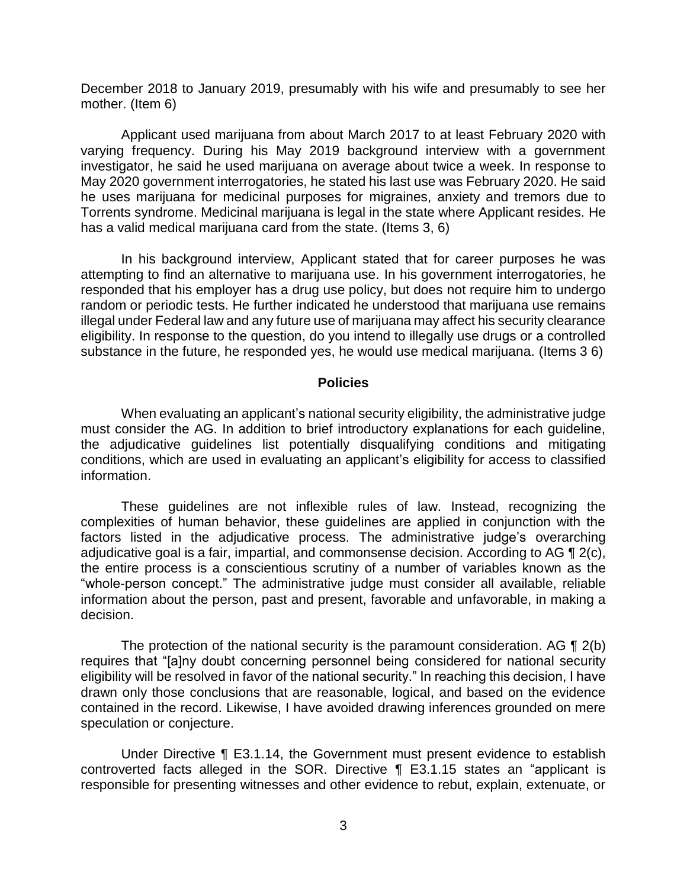December 2018 to January 2019, presumably with his wife and presumably to see her mother. (Item 6)

 Applicant used marijuana from about March 2017 to at least February 2020 with varying frequency. During his May 2019 background interview with a government investigator, he said he used marijuana on average about twice a week. In response to May 2020 government interrogatories, he stated his last use was February 2020. He said he uses marijuana for medicinal purposes for migraines, anxiety and tremors due to Torrents syndrome. Medicinal marijuana is legal in the state where Applicant resides. He has a valid medical marijuana card from the state. (Items 3, 6)

 In his background interview, Applicant stated that for career purposes he was attempting to find an alternative to marijuana use. In his government interrogatories, he responded that his employer has a drug use policy, but does not require him to undergo random or periodic tests. He further indicated he understood that marijuana use remains illegal under Federal law and any future use of marijuana may affect his security clearance eligibility. In response to the question, do you intend to illegally use drugs or a controlled substance in the future, he responded yes, he would use medical marijuana. (Items 3 6)

#### **Policies**

 When evaluating an applicant's national security eligibility, the administrative judge must consider the AG. In addition to brief introductory explanations for each guideline, the adjudicative guidelines list potentially disqualifying conditions and mitigating conditions, which are used in evaluating an applicant's eligibility for access to classified information.

 These guidelines are not inflexible rules of law. Instead, recognizing the complexities of human behavior, these guidelines are applied in conjunction with the factors listed in the adjudicative process. The administrative judge's overarching adjudicative goal is a fair, impartial, and commonsense decision. According to AG  $\P$  2(c), the entire process is a conscientious scrutiny of a number of variables known as the "whole-person concept." The administrative judge must consider all available, reliable information about the person, past and present, favorable and unfavorable, in making a decision.

The protection of the national security is the paramount consideration. AG  $\P$  2(b) eligibility will be resolved in favor of the national security." In reaching this decision, I have drawn only those conclusions that are reasonable, logical, and based on the evidence contained in the record. Likewise, I have avoided drawing inferences grounded on mere requires that "[a]ny doubt concerning personnel being considered for national security speculation or conjecture.

 Under Directive ¶ E3.1.14, the Government must present evidence to establish controverted facts alleged in the SOR. Directive ¶ E3.1.15 states an "applicant is responsible for presenting witnesses and other evidence to rebut, explain, extenuate, or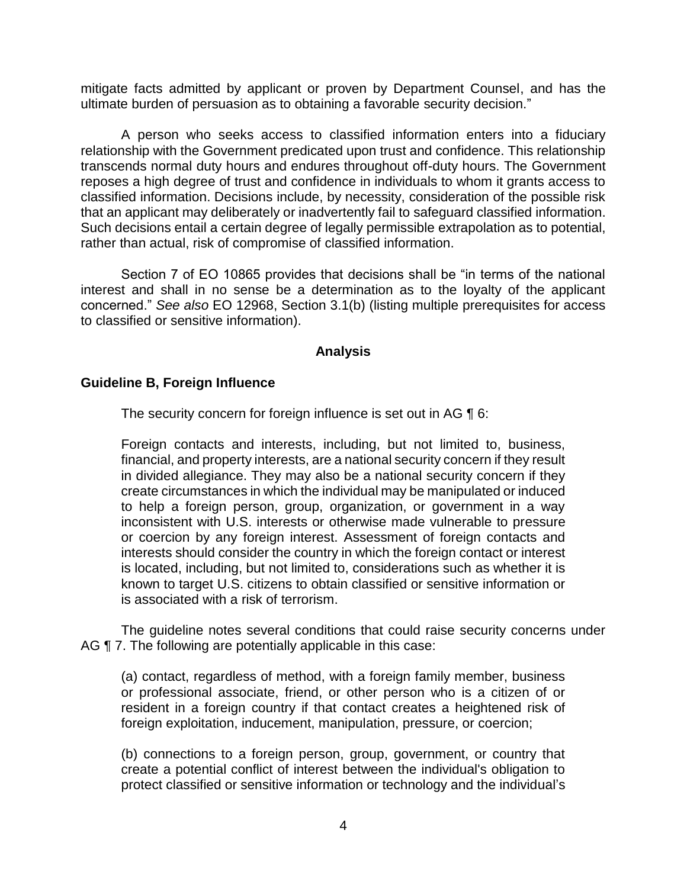mitigate facts admitted by applicant or proven by Department Counsel, and has the ultimate burden of persuasion as to obtaining a favorable security decision."

 A person who seeks access to classified information enters into a fiduciary relationship with the Government predicated upon trust and confidence. This relationship transcends normal duty hours and endures throughout off-duty hours. The Government reposes a high degree of trust and confidence in individuals to whom it grants access to classified information. Decisions include, by necessity, consideration of the possible risk that an applicant may deliberately or inadvertently fail to safeguard classified information. Such decisions entail a certain degree of legally permissible extrapolation as to potential, rather than actual, risk of compromise of classified information.

Section 7 of EO 10865 provides that decisions shall be "in terms of the national interest and shall in no sense be a determination as to the loyalty of the applicant concerned." *See also* EO 12968, Section 3.1(b) (listing multiple prerequisites for access to classified or sensitive information).

# **Analysis**

### **Guideline B, Foreign Influence**

The security concern for foreign influence is set out in AG 16:

Foreign contacts and interests, including, but not limited to, business, financial, and property interests, are a national security concern if they result in divided allegiance. They may also be a national security concern if they create circumstances in which the individual may be manipulated or induced to help a foreign person, group, organization, or government in a way inconsistent with U.S. interests or otherwise made vulnerable to pressure or coercion by any foreign interest. Assessment of foreign contacts and interests should consider the country in which the foreign contact or interest is located, including, but not limited to, considerations such as whether it is known to target U.S. citizens to obtain classified or sensitive information or is associated with a risk of terrorism.

 The guideline notes several conditions that could raise security concerns under AG  $\P$  7. The following are potentially applicable in this case:

(a) contact, regardless of method, with a foreign family member, business or professional associate, friend, or other person who is a citizen of or resident in a foreign country if that contact creates a heightened risk of foreign exploitation, inducement, manipulation, pressure, or coercion;

 (b) connections to a foreign person, group, government, or country that create a potential conflict of interest between the individual's obligation to protect classified or sensitive information or technology and the individual's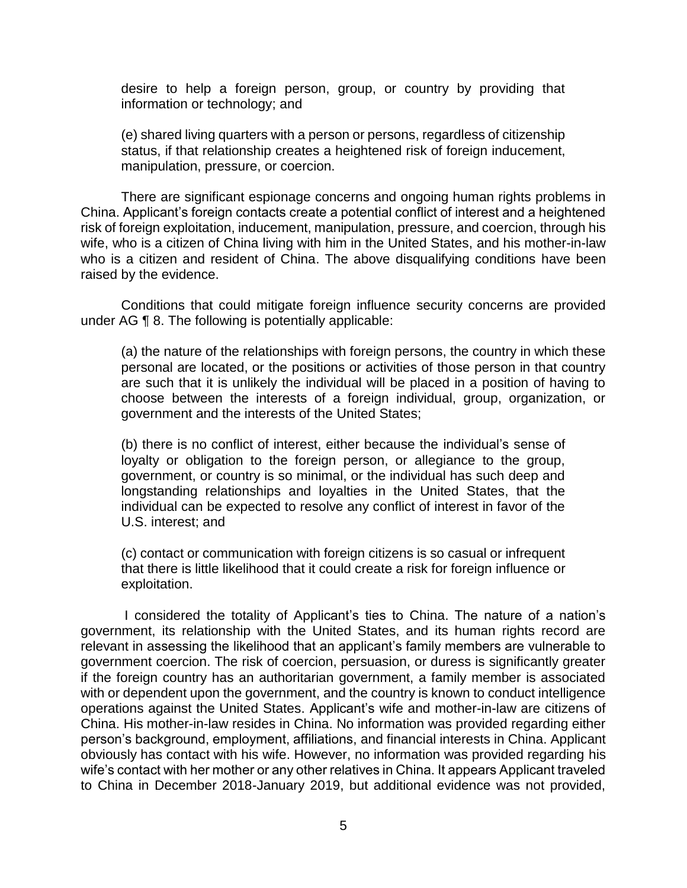desire to help a foreign person, group, or country by providing that information or technology; and

 (e) shared living quarters with a person or persons, regardless of citizenship status, if that relationship creates a heightened risk of foreign inducement, manipulation, pressure, or coercion.

 There are significant espionage concerns and ongoing human rights problems in China. Applicant's foreign contacts create a potential conflict of interest and a heightened risk of foreign exploitation, inducement, manipulation, pressure, and coercion, through his wife, who is a citizen of China living with him in the United States, and his mother-in-law who is a citizen and resident of China. The above disqualifying conditions have been raised by the evidence.

 Conditions that could mitigate foreign influence security concerns are provided under AG ¶ 8. The following is potentially applicable:

(a) the nature of the relationships with foreign persons, the country in which these personal are located, or the positions or activities of those person in that country are such that it is unlikely the individual will be placed in a position of having to choose between the interests of a foreign individual, group, organization, or government and the interests of the United States;

(b) there is no conflict of interest, either because the individual's sense of loyalty or obligation to the foreign person, or allegiance to the group, government, or country is so minimal, or the individual has such deep and longstanding relationships and loyalties in the United States, that the individual can be expected to resolve any conflict of interest in favor of the U.S. interest; and

(c) contact or communication with foreign citizens is so casual or infrequent that there is little likelihood that it could create a risk for foreign influence or exploitation.

 I considered the totality of Applicant's ties to China. The nature of a nation's government, its relationship with the United States, and its human rights record are relevant in assessing the likelihood that an applicant's family members are vulnerable to government coercion. The risk of coercion, persuasion, or duress is significantly greater if the foreign country has an authoritarian government, a family member is associated with or dependent upon the government, and the country is known to conduct intelligence operations against the United States. Applicant's wife and mother-in-law are citizens of China. His mother-in-law resides in China. No information was provided regarding either person's background, employment, affiliations, and financial interests in China. Applicant obviously has contact with his wife. However, no information was provided regarding his to China in December 2018-January 2019, but additional evidence was not provided, wife's contact with her mother or any other relatives in China. It appears Applicant traveled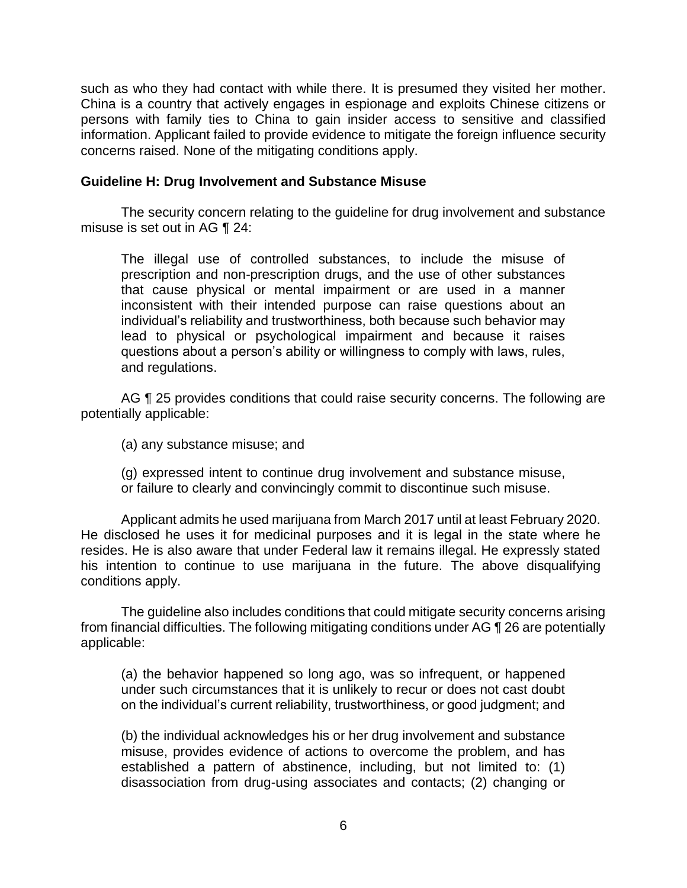such as who they had contact with while there. It is presumed they visited her mother. China is a country that actively engages in espionage and exploits Chinese citizens or persons with family ties to China to gain insider access to sensitive and classified information. Applicant failed to provide evidence to mitigate the foreign influence security concerns raised. None of the mitigating conditions apply.

#### **Guideline H: Drug Involvement and Substance Misuse**

The security concern relating to the guideline for drug involvement and substance misuse is set out in AG ¶ 24:

The illegal use of controlled substances, to include the misuse of prescription and non-prescription drugs, and the use of other substances that cause physical or mental impairment or are used in a manner inconsistent with their intended purpose can raise questions about an individual's reliability and trustworthiness, both because such behavior may lead to physical or psychological impairment and because it raises questions about a person's ability or willingness to comply with laws, rules, and regulations.

AG ¶ 25 provides conditions that could raise security concerns. The following are potentially applicable:

(a) any substance misuse; and

 (g) expressed intent to continue drug involvement and substance misuse, or failure to clearly and convincingly commit to discontinue such misuse.

 Applicant admits he used marijuana from March 2017 until at least February 2020. He disclosed he uses it for medicinal purposes and it is legal in the state where he resides. He is also aware that under Federal law it remains illegal. He expressly stated his intention to continue to use marijuana in the future. The above disqualifying conditions apply.

 The guideline also includes conditions that could mitigate security concerns arising from financial difficulties. The following mitigating conditions under AG ¶ 26 are potentially applicable:

(a) the behavior happened so long ago, was so infrequent, or happened under such circumstances that it is unlikely to recur or does not cast doubt on the individual's current reliability, trustworthiness, or good judgment; and

(b) the individual acknowledges his or her drug involvement and substance misuse, provides evidence of actions to overcome the problem, and has established a pattern of abstinence, including, but not limited to: (1) disassociation from drug-using associates and contacts; (2) changing or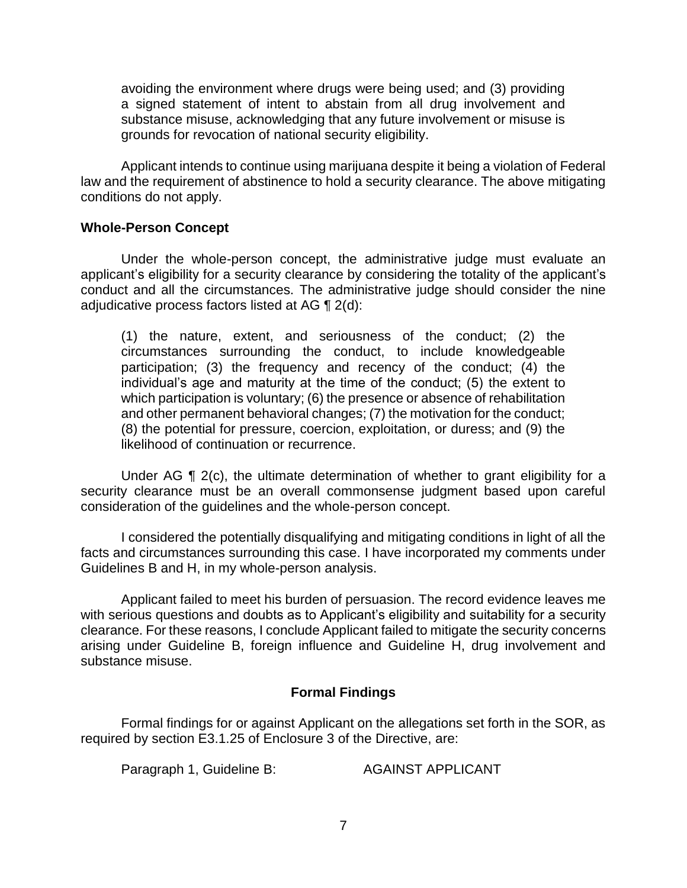avoiding the environment where drugs were being used; and (3) providing a signed statement of intent to abstain from all drug involvement and substance misuse, acknowledging that any future involvement or misuse is grounds for revocation of national security eligibility.

 Applicant intends to continue using marijuana despite it being a violation of Federal law and the requirement of abstinence to hold a security clearance. The above mitigating conditions do not apply.

#### **Whole-Person Concept**

 Under the whole-person concept, the administrative judge must evaluate an applicant's eligibility for a security clearance by considering the totality of the applicant's conduct and all the circumstances. The administrative judge should consider the nine adjudicative process factors listed at AG ¶ 2(d):

 (1) the nature, extent, and seriousness of the conduct; (2) the circumstances surrounding the conduct, to include knowledgeable participation; (3) the frequency and recency of the conduct; (4) the individual's age and maturity at the time of the conduct; (5) the extent to which participation is voluntary; (6) the presence or absence of rehabilitation and other permanent behavioral changes; (7) the motivation for the conduct; (8) the potential for pressure, coercion, exploitation, or duress; and (9) the likelihood of continuation or recurrence.

Under AG  $\P$  2(c), the ultimate determination of whether to grant eligibility for a security clearance must be an overall commonsense judgment based upon careful consideration of the guidelines and the whole-person concept.

 I considered the potentially disqualifying and mitigating conditions in light of all the facts and circumstances surrounding this case. I have incorporated my comments under Guidelines B and H, in my whole-person analysis.

 Applicant failed to meet his burden of persuasion. The record evidence leaves me clearance. For these reasons, I conclude Applicant failed to mitigate the security concerns arising under Guideline B, foreign influence and Guideline H, drug involvement and with serious questions and doubts as to Applicant's eligibility and suitability for a security substance misuse.

# **Formal Findings**

 Formal findings for or against Applicant on the allegations set forth in the SOR, as required by section E3.1.25 of Enclosure 3 of the Directive, are:

Paragraph 1, Guideline B: AGAINST APPLICANT